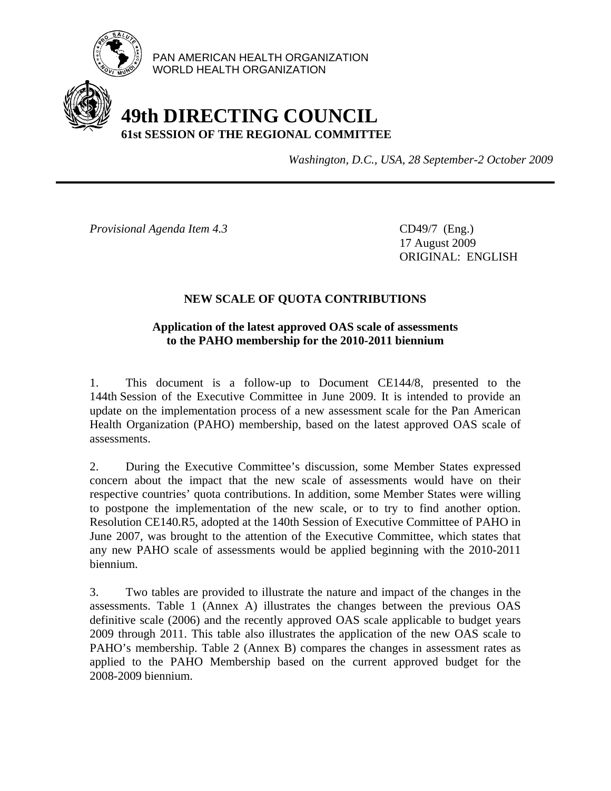

PAN AMERICAN HEALTH ORGANIZATION WORLD HEALTH ORGANIZATION

# **49th DIRECTING COUNCIL 61st SESSION OF THE REGIONAL COMMITTEE**

*Washington, D.C., USA, 28 September-2 October 2009*

*Provisional Agenda Item 4.3* CD49/7 (Eng.)

 17 August 2009 ORIGINAL: ENGLISH

## **NEW SCALE OF QUOTA CONTRIBUTIONS**

### **Application of the latest approved OAS scale of assessments to the PAHO membership for the 2010-2011 biennium**

1. This document is a follow-up to Document CE144/8, presented to the 144th Session of the Executive Committee in June 2009. It is intended to provide an update on the implementation process of a new assessment scale for the Pan American Health Organization (PAHO) membership, based on the latest approved OAS scale of assessments.

2. During the Executive Committee's discussion, some Member States expressed concern about the impact that the new scale of assessments would have on their respective countries' quota contributions. In addition, some Member States were willing to postpone the implementation of the new scale, or to try to find another option. Resolution CE140.R5, adopted at the 140th Session of Executive Committee of PAHO in June 2007, was brought to the attention of the Executive Committee, which states that any new PAHO scale of assessments would be applied beginning with the 2010-2011 biennium.

3. Two tables are provided to illustrate the nature and impact of the changes in the assessments. Table 1 (Annex A) illustrates the changes between the previous OAS definitive scale (2006) and the recently approved OAS scale applicable to budget years 2009 through 2011. This table also illustrates the application of the new OAS scale to PAHO's membership. Table 2 (Annex B) compares the changes in assessment rates as applied to the PAHO Membership based on the current approved budget for the 2008-2009 biennium.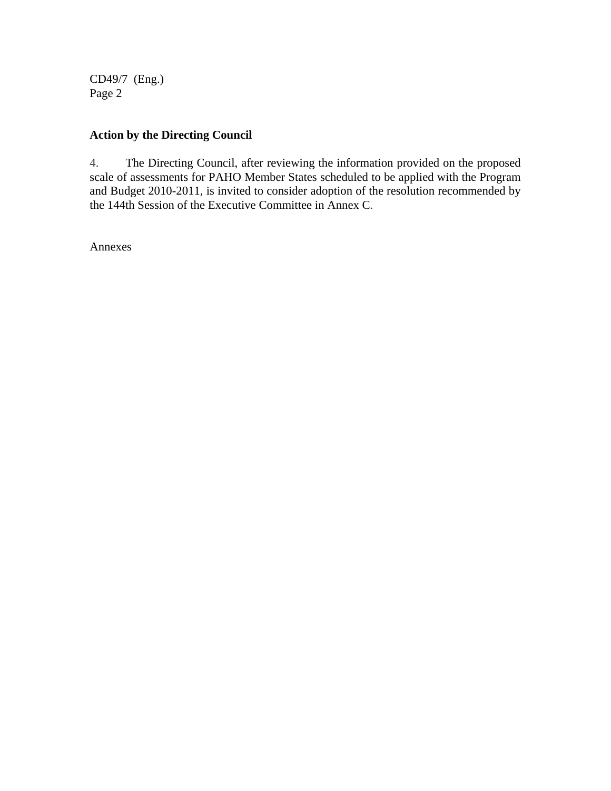CD49/7 (Eng.) Page 2

## **Action by the Directing Council**

4. The Directing Council, after reviewing the information provided on the proposed scale of assessments for PAHO Member States scheduled to be applied with the Program and Budget 2010-2011, is invited to consider adoption of the resolution recommended by the 144th Session of the Executive Committee in Annex C.

Annexes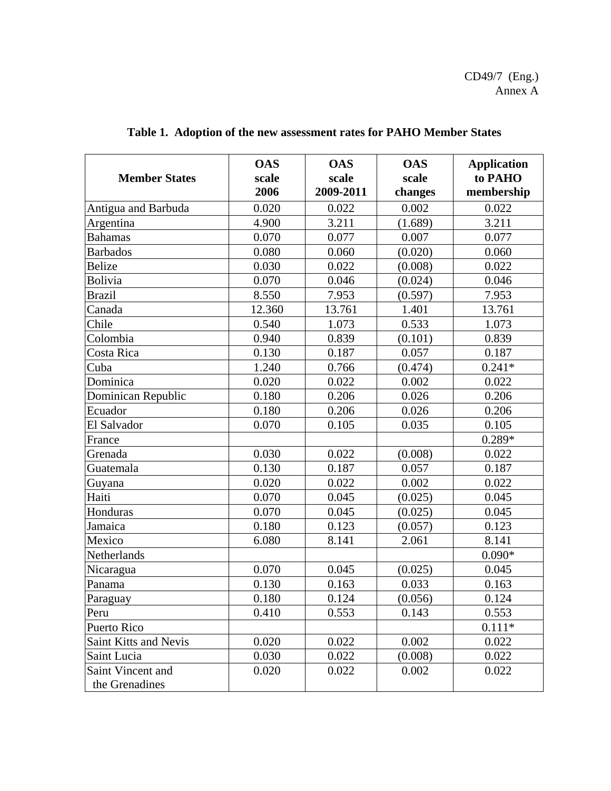CD49/7 (Eng.) Annex A

| <b>Member States</b>                | <b>OAS</b><br>scale<br>2006 | <b>OAS</b><br>scale<br>2009-2011 | <b>OAS</b><br>scale<br>changes | <b>Application</b><br>to PAHO<br>membership |
|-------------------------------------|-----------------------------|----------------------------------|--------------------------------|---------------------------------------------|
| Antigua and Barbuda                 | 0.020                       | 0.022                            | 0.002                          | 0.022                                       |
| Argentina                           | 4.900                       | 3.211                            | (1.689)                        | 3.211                                       |
| <b>Bahamas</b>                      | 0.070                       | 0.077                            | 0.007                          | 0.077                                       |
| <b>Barbados</b>                     | 0.080                       | 0.060                            | (0.020)                        | 0.060                                       |
| <b>Belize</b>                       | 0.030                       | 0.022                            | (0.008)                        | 0.022                                       |
| <b>Bolivia</b>                      | 0.070                       | 0.046                            | (0.024)                        | 0.046                                       |
| <b>Brazil</b>                       | 8.550                       | 7.953                            | (0.597)                        | 7.953                                       |
| Canada                              | 12.360                      | 13.761                           | 1.401                          | 13.761                                      |
| Chile                               | 0.540                       | 1.073                            | 0.533                          | 1.073                                       |
| Colombia                            | 0.940                       | 0.839                            | (0.101)                        | 0.839                                       |
| Costa Rica                          | 0.130                       | 0.187                            | 0.057                          | 0.187                                       |
| Cuba                                | 1.240                       | 0.766                            | (0.474)                        | $0.241*$                                    |
| Dominica                            | 0.020                       | 0.022                            | 0.002                          | 0.022                                       |
| Dominican Republic                  | 0.180                       | 0.206                            | 0.026                          | 0.206                                       |
| Ecuador                             | 0.180                       | 0.206                            | 0.026                          | 0.206                                       |
| El Salvador                         | 0.070                       | 0.105                            | 0.035                          | 0.105                                       |
| France                              |                             |                                  |                                | $0.289*$                                    |
| Grenada                             | 0.030                       | 0.022                            | (0.008)                        | 0.022                                       |
| Guatemala                           | 0.130                       | 0.187                            | 0.057                          | 0.187                                       |
| Guyana                              | 0.020                       | 0.022                            | 0.002                          | 0.022                                       |
| Haiti                               | 0.070                       | 0.045                            | (0.025)                        | 0.045                                       |
| Honduras                            | 0.070                       | 0.045                            | (0.025)                        | 0.045                                       |
| Jamaica                             | 0.180                       | 0.123                            | (0.057)                        | 0.123                                       |
| Mexico                              | 6.080                       | 8.141                            | 2.061                          | 8.141                                       |
| Netherlands                         |                             |                                  |                                | $0.090*$                                    |
| Nicaragua                           | 0.070                       | 0.045                            | (0.025)                        | 0.045                                       |
| Panama                              | 0.130                       | 0.163                            | 0.033                          | 0.163                                       |
| Paraguay                            | 0.180                       | 0.124                            | (0.056)                        | 0.124                                       |
| Peru                                | 0.410                       | 0.553                            | 0.143                          | 0.553                                       |
| Puerto Rico                         |                             |                                  |                                | $0.111*$                                    |
| Saint Kitts and Nevis               | 0.020                       | 0.022                            | 0.002                          | 0.022                                       |
| Saint Lucia                         | 0.030                       | 0.022                            | (0.008)                        | 0.022                                       |
| Saint Vincent and<br>the Grenadines | 0.020                       | 0.022                            | 0.002                          | 0.022                                       |

**Table 1. Adoption of the new assessment rates for PAHO Member States**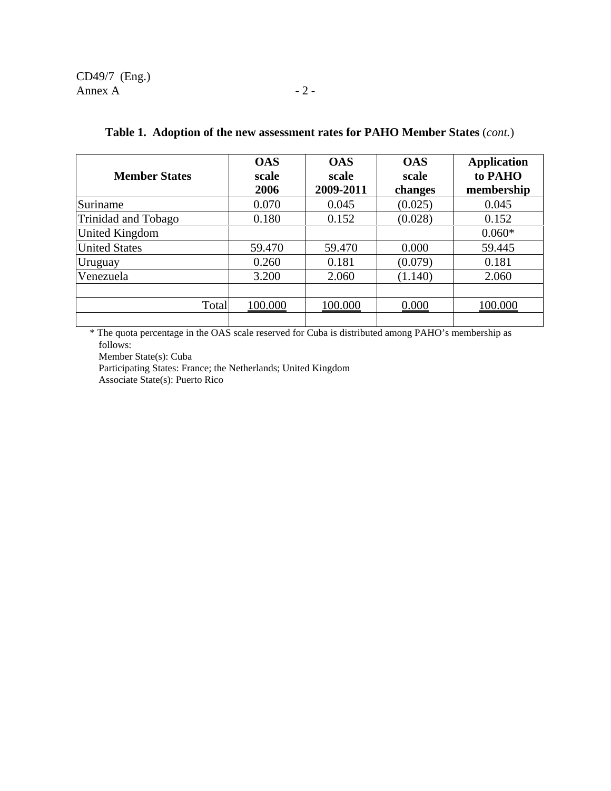CD49/7 (Eng.) Annex A  $-2$  -

| <b>Member States</b> | <b>OAS</b><br>scale<br>2006 | <b>OAS</b><br>scale<br>2009-2011 | <b>OAS</b><br>scale<br>changes | <b>Application</b><br>to PAHO<br>membership |
|----------------------|-----------------------------|----------------------------------|--------------------------------|---------------------------------------------|
| Suriname             | 0.070                       | 0.045                            | (0.025)                        | 0.045                                       |
| Trinidad and Tobago  | 0.180                       | 0.152                            | (0.028)                        | 0.152                                       |
| United Kingdom       |                             |                                  |                                | $0.060*$                                    |
| <b>United States</b> | 59.470                      | 59.470                           | 0.000                          | 59.445                                      |
| Uruguay              | 0.260                       | 0.181                            | (0.079)                        | 0.181                                       |
| Venezuela            | 3.200                       | 2.060                            | (1.140)                        | 2.060                                       |
|                      |                             |                                  |                                |                                             |
| Total                | 100.000                     | 100.000                          | 0.000                          | 100.000                                     |
|                      |                             |                                  |                                |                                             |

#### **Table 1. Adoption of the new assessment rates for PAHO Member States** (*cont.*)

\* The quota percentage in the OAS scale reserved for Cuba is distributed among PAHO's membership as follows:

Member State(s): Cuba

 Participating States: France; the Netherlands; United Kingdom Associate State(s): Puerto Rico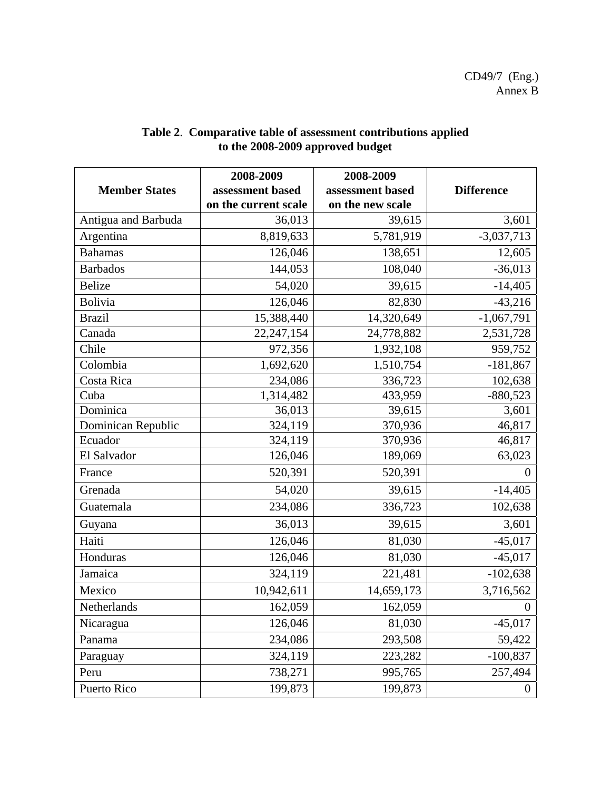|                      | 2008-2009            | 2008-2009        |                   |
|----------------------|----------------------|------------------|-------------------|
| <b>Member States</b> | assessment based     | assessment based | <b>Difference</b> |
|                      | on the current scale | on the new scale |                   |
| Antigua and Barbuda  | 36,013               | 39,615           | 3,601             |
| Argentina            | 8,819,633            | 5,781,919        | $-3,037,713$      |
| <b>Bahamas</b>       | 126,046              | 138,651          | 12,605            |
| <b>Barbados</b>      | 144,053              | 108,040          | $-36,013$         |
| <b>Belize</b>        | 54,020               | 39,615           | $-14,405$         |
| <b>Bolivia</b>       | 126,046              | 82,830           | $-43,216$         |
| <b>Brazil</b>        | 15,388,440           | 14,320,649       | $-1,067,791$      |
| Canada               | 22, 247, 154         | 24,778,882       | 2,531,728         |
| Chile                | 972,356              | 1,932,108        | 959,752           |
| Colombia             | 1,692,620            | 1,510,754        | $-181,867$        |
| Costa Rica           | 234,086              | 336,723          | 102,638           |
| Cuba                 | 1,314,482            | 433,959          | $-880,523$        |
| Dominica             | 36,013               | 39,615           | 3,601             |
| Dominican Republic   | 324,119              | 370,936          | 46,817            |
| Ecuador              | 324,119              | 370,936          | 46,817            |
| El Salvador          | 126,046              | 189,069          | 63,023            |
| France               | 520,391              | 520,391          | $\theta$          |
| Grenada              | 54,020               | 39,615           | $-14,405$         |
| Guatemala            | 234,086              | 336,723          | 102,638           |
| Guyana               | 36,013               | 39,615           | 3,601             |
| Haiti                | 126,046              | 81,030           | $-45,017$         |
| Honduras             | 126,046              | 81,030           | $-45,017$         |
| Jamaica              | 324,119              | 221,481          | $-102,638$        |
| Mexico               | 10,942,611           | 14,659,173       | 3,716,562         |
| Netherlands          | 162,059              | 162,059          | $\boldsymbol{0}$  |
| Nicaragua            | 126,046              | 81,030           | $-45,017$         |
| Panama               | 234,086              | 293,508          | 59,422            |
| Paraguay             | 324,119              | 223,282          | $-100,837$        |
| Peru                 | 738,271              | 995,765          | 257,494           |
| Puerto Rico          | 199,873              | 199,873          | $\overline{0}$    |

## **Table 2**. **Comparative table of assessment contributions applied to the 2008-2009 approved budget**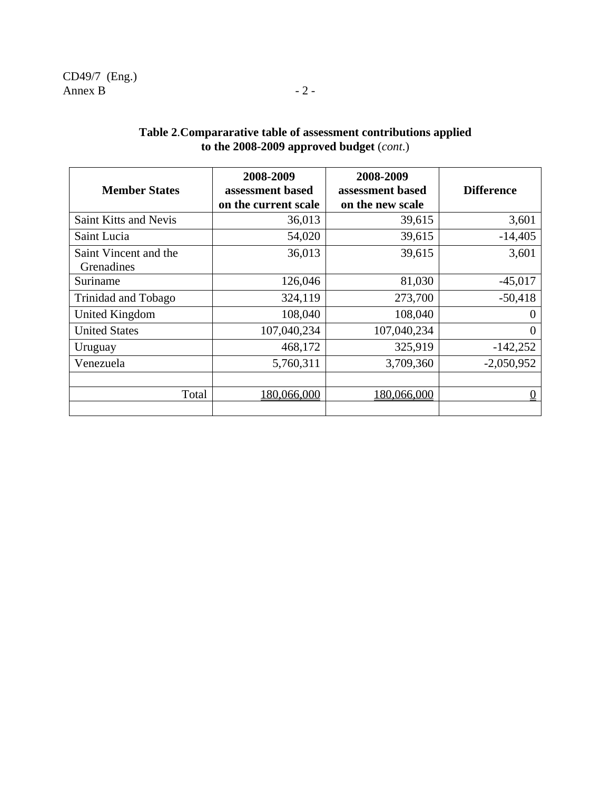| <b>Member States</b>                | 2008-2009<br>assessment based<br>on the current scale | 2008-2009<br>assessment based<br>on the new scale | <b>Difference</b> |
|-------------------------------------|-------------------------------------------------------|---------------------------------------------------|-------------------|
| <b>Saint Kitts and Nevis</b>        | 36,013                                                | 39,615                                            | 3,601             |
| Saint Lucia                         | 54,020                                                | 39,615                                            | $-14,405$         |
| Saint Vincent and the<br>Grenadines | 36,013                                                | 39,615                                            | 3,601             |
| Suriname                            | 126,046                                               | 81,030                                            | $-45,017$         |
| Trinidad and Tobago                 | 324,119                                               | 273,700                                           | $-50,418$         |
| United Kingdom                      | 108,040                                               | 108,040                                           | $\Omega$          |
| <b>United States</b>                | 107,040,234                                           | 107,040,234                                       | $\theta$          |
| Uruguay                             | 468,172                                               | 325,919                                           | $-142,252$        |
| Venezuela                           | 5,760,311                                             | 3,709,360                                         | $-2,050,952$      |
| Total                               | 180,066,000                                           | 180,066,000                                       |                   |

## **Table 2**.**Compararative table of assessment contributions applied to the 2008-2009 approved budget** (*cont*.)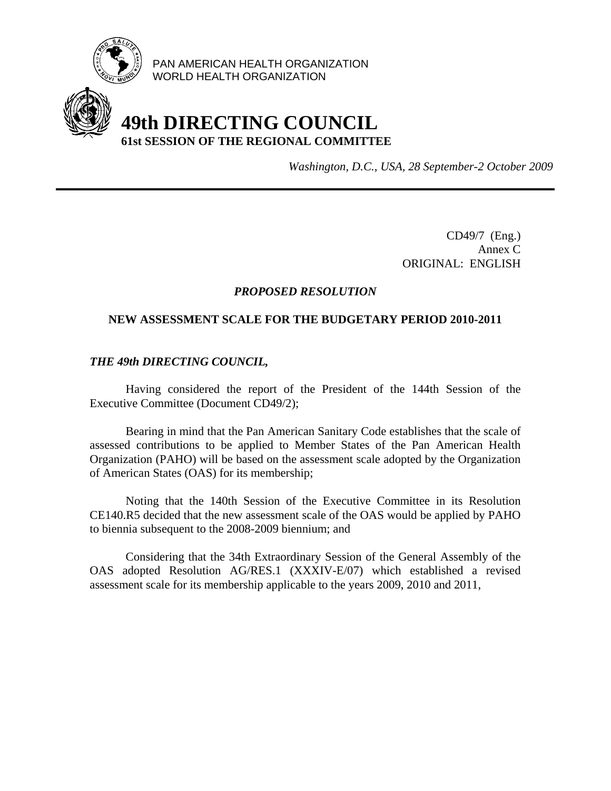

PAN AMERICAN HEALTH ORGANIZATION WORLD HEALTH ORGANIZATION

## **49th DIRECTING COUNCIL 61st SESSION OF THE REGIONAL COMMITTEE**

*Washington, D.C., USA, 28 September-2 October 2009*

CD49/7 (Eng.) Annex C ORIGINAL: ENGLISH

## *PROPOSED RESOLUTION*

#### **NEW ASSESSMENT SCALE FOR THE BUDGETARY PERIOD 2010-2011**

#### *THE 49th DIRECTING COUNCIL,*

 Having considered the report of the President of the 144th Session of the Executive Committee (Document CD49/2);

Bearing in mind that the Pan American Sanitary Code establishes that the scale of assessed contributions to be applied to Member States of the Pan American Health Organization (PAHO) will be based on the assessment scale adopted by the Organization of American States (OAS) for its membership;

 Noting that the 140th Session of the Executive Committee in its Resolution CE140.R5 decided that the new assessment scale of the OAS would be applied by PAHO to biennia subsequent to the 2008-2009 biennium; and

 Considering that the 34th Extraordinary Session of the General Assembly of the OAS adopted Resolution AG/RES.1 (XXXIV-E/07) which established a revised assessment scale for its membership applicable to the years 2009, 2010 and 2011,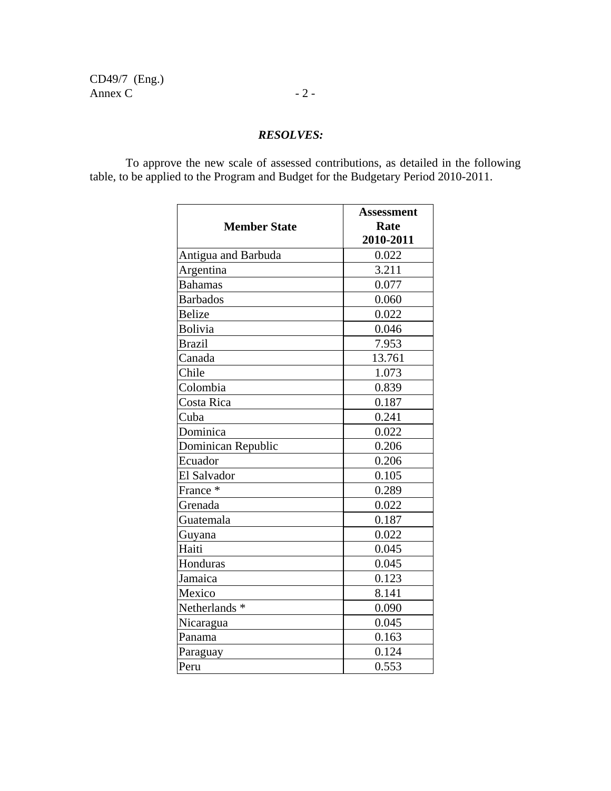CD49/7 (Eng.) Annex C  $-2$  -

## *RESOLVES:*

 To approve the new scale of assessed contributions, as detailed in the following table, to be applied to the Program and Budget for the Budgetary Period 2010-2011.

|                          | <b>Assessment</b> |
|--------------------------|-------------------|
| <b>Member State</b>      | Rate              |
|                          | 2010-2011         |
| Antigua and Barbuda      | 0.022             |
| Argentina                | 3.211             |
| <b>Bahamas</b>           | 0.077             |
| <b>Barbados</b>          | 0.060             |
| <b>Belize</b>            | 0.022             |
| Bolivia                  | 0.046             |
| <b>Brazil</b>            | 7.953             |
| Canada                   | 13.761            |
| Chile                    | 1.073             |
| Colombia                 | 0.839             |
| Costa Rica               | 0.187             |
| Cuba                     | 0.241             |
| Dominica                 | 0.022             |
| Dominican Republic       | 0.206             |
| Ecuador                  | 0.206             |
| El Salvador              | 0.105             |
| France *                 | 0.289             |
| Grenada                  | 0.022             |
| Guatemala                | 0.187             |
| Guyana                   | 0.022             |
| Haiti                    | 0.045             |
| Honduras                 | 0.045             |
| Jamaica                  | 0.123             |
| Mexico                   | 8.141             |
| Netherlands <sup>*</sup> | 0.090             |
| Nicaragua                | 0.045             |
| Panama                   | 0.163             |
| Paraguay                 | 0.124             |
| Peru                     | 0.553             |